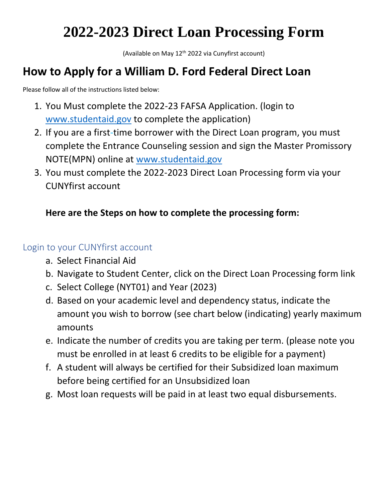# **2022-2023 Direct Loan Processing Form**

(Available on May  $12<sup>th</sup>$  2022 via Cunyfirst account)

## **How to Apply for a William D. Ford Federal Direct Loan**

Please follow all of the instructions listed below:

- 1. You Must complete the 2022-23 FAFSA Application. (login to [www.studentaid.gov](http://www.studentaid.gov/) to complete the application)
- 2. If you are a first-time borrower with the Direct Loan program, you must complete the Entrance Counseling session and sign the Master Promissory NOTE(MPN) online at [www.studentaid.gov](http://www.studentaid.gov/)
- 3. You must complete the 2022-2023 Direct Loan Processing form via your CUNYfirst account

## **Here are the Steps on how to complete the processing form:**

### Login to your CUNYfirst account

- a. Select Financial Aid
- b. Navigate to Student Center, click on the Direct Loan Processing form link
- c. Select College (NYT01) and Year (2023)
- d. Based on your academic level and dependency status, indicate the amount you wish to borrow (see chart below (indicating) yearly maximum amounts
- e. Indicate the number of credits you are taking per term. (please note you must be enrolled in at least 6 credits to be eligible for a payment)
- f. A student will always be certified for their Subsidized loan maximum before being certified for an Unsubsidized loan
- g. Most loan requests will be paid in at least two equal disbursements.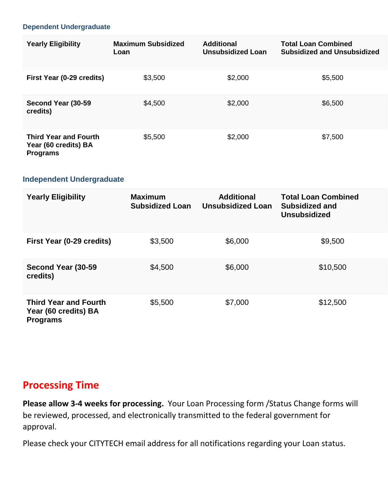#### **Dependent Undergraduate**

| <b>Yearly Eligibility</b>                                               | <b>Maximum Subsidized</b><br>Loan | <b>Additional</b><br><b>Unsubsidized Loan</b> | <b>Total Loan Combined</b><br><b>Subsidized and Unsubsidized</b> |
|-------------------------------------------------------------------------|-----------------------------------|-----------------------------------------------|------------------------------------------------------------------|
| First Year (0-29 credits)                                               | \$3,500                           | \$2,000                                       | \$5,500                                                          |
| Second Year (30-59<br>credits)                                          | \$4,500                           | \$2,000                                       | \$6,500                                                          |
| <b>Third Year and Fourth</b><br>Year (60 credits) BA<br><b>Programs</b> | \$5,500                           | \$2,000                                       | \$7,500                                                          |

#### **Independent Undergraduate**

| <b>Yearly Eligibility</b>                                               | <b>Maximum</b><br><b>Subsidized Loan</b> | <b>Additional</b><br><b>Unsubsidized Loan</b> | <b>Total Loan Combined</b><br>Subsidized and<br><b>Unsubsidized</b> |
|-------------------------------------------------------------------------|------------------------------------------|-----------------------------------------------|---------------------------------------------------------------------|
| First Year (0-29 credits)                                               | \$3,500                                  | \$6,000                                       | \$9,500                                                             |
| Second Year (30-59<br>credits)                                          | \$4,500                                  | \$6,000                                       | \$10,500                                                            |
| <b>Third Year and Fourth</b><br>Year (60 credits) BA<br><b>Programs</b> | \$5,500                                  | \$7,000                                       | \$12,500                                                            |

## **Processing Time**

**Please allow 3-4 weeks for processing.** Your Loan Processing form /Status Change forms will be reviewed, processed, and electronically transmitted to the federal government for approval.

Please check your CITYTECH email address for all notifications regarding your Loan status.